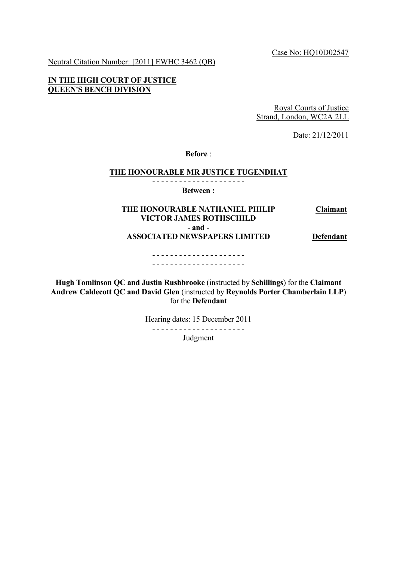Case No: HQ10D02547

Neutral Citation Number: [2011] EWHC 3462 (QB)

#### **IN THE HIGH COURT OF JUSTICE QUEEN'S BENCH DIVISION**

Royal Courts of Justice Strand, London, WC2A 2LL

Date: 21/12/2011

**Before** :

#### **THE HONOURABLE MR JUSTICE TUGENDHAT**

- - - - - - - - - - - - - - - - - - - - -

#### **Between :**

#### **THE HONOURABLE NATHANIEL PHILIP VICTOR JAMES ROTHSCHILD Claimant - and - ASSOCIATED NEWSPAPERS LIMITED Defendant**

- - - - - - - - - - - - - - - - - - - - - - - - - - - - - - - - - - - - - - - - - -

**Hugh Tomlinson QC and Justin Rushbrooke** (instructed by **Schillings**) for the **Claimant Andrew Caldecott QC and David Glen** (instructed by **Reynolds Porter Chamberlain LLP**) for the **Defendant**

Hearing dates: 15 December 2011

- - - - - - - - - - - - - - - - - - - - -

Judgment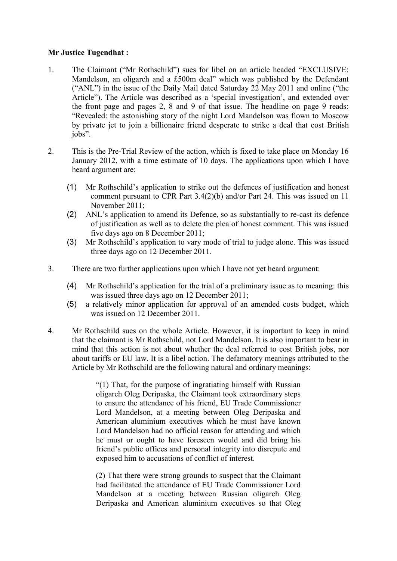# **Mr Justice Tugendhat :**

- 1. The Claimant ("Mr Rothschild") sues for libel on an article headed "EXCLUSIVE: Mandelson, an oligarch and a £500m deal" which was published by the Defendant ("ANL") in the issue of the Daily Mail dated Saturday 22 May 2011 and online ("the Article"). The Article was described as a "special investigation", and extended over the front page and pages 2, 8 and 9 of that issue. The headline on page 9 reads: "Revealed: the astonishing story of the night Lord Mandelson was flown to Moscow by private jet to join a billionaire friend desperate to strike a deal that cost British jobs".
- 2. This is the Pre-Trial Review of the action, which is fixed to take place on Monday 16 January 2012, with a time estimate of 10 days. The applications upon which I have heard argument are:
	- (1) Mr Rothschild"s application to strike out the defences of justification and honest comment pursuant to CPR Part 3.4(2)(b) and/or Part 24. This was issued on 11 November 2011;
	- (2) ANL"s application to amend its Defence, so as substantially to re-cast its defence of justification as well as to delete the plea of honest comment. This was issued five days ago on 8 December 2011;
	- (3) Mr Rothschild"s application to vary mode of trial to judge alone. This was issued three days ago on 12 December 2011.
- 3. There are two further applications upon which I have not yet heard argument:
	- (4) Mr Rothschild"s application for the trial of a preliminary issue as to meaning: this was issued three days ago on 12 December 2011;
	- (5) a relatively minor application for approval of an amended costs budget, which was issued on 12 December 2011.
- 4. Mr Rothschild sues on the whole Article. However, it is important to keep in mind that the claimant is Mr Rothschild, not Lord Mandelson. It is also important to bear in mind that this action is not about whether the deal referred to cost British jobs, nor about tariffs or EU law. It is a libel action. The defamatory meanings attributed to the Article by Mr Rothschild are the following natural and ordinary meanings:

"(1) That, for the purpose of ingratiating himself with Russian oligarch Oleg Deripaska, the Claimant took extraordinary steps to ensure the attendance of his friend, EU Trade Commissioner Lord Mandelson, at a meeting between Oleg Deripaska and American aluminium executives which he must have known Lord Mandelson had no official reason for attending and which he must or ought to have foreseen would and did bring his friend"s public offices and personal integrity into disrepute and exposed him to accusations of conflict of interest.

(2) That there were strong grounds to suspect that the Claimant had facilitated the attendance of EU Trade Commissioner Lord Mandelson at a meeting between Russian oligarch Oleg Deripaska and American aluminium executives so that Oleg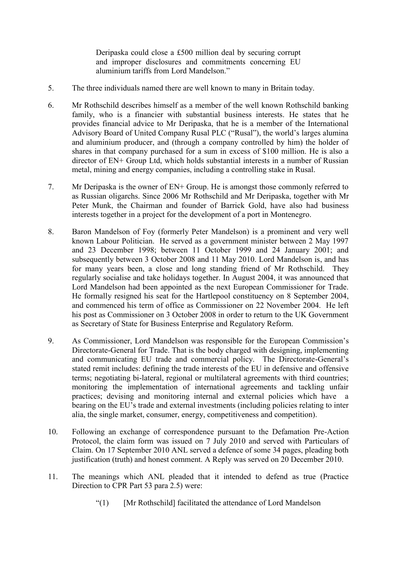Deripaska could close a £500 million deal by securing corrupt and improper disclosures and commitments concerning EU aluminium tariffs from Lord Mandelson."

- 5. The three individuals named there are well known to many in Britain today.
- 6. Mr Rothschild describes himself as a member of the well known Rothschild banking family, who is a financier with substantial business interests. He states that he provides financial advice to Mr Deripaska, that he is a member of the International Advisory Board of United Company Rusal PLC ("Rusal"), the world"s larges alumina and aluminium producer, and (through a company controlled by him) the holder of shares in that company purchased for a sum in excess of \$100 million. He is also a director of EN+ Group Ltd, which holds substantial interests in a number of Russian metal, mining and energy companies, including a controlling stake in Rusal.
- 7. Mr Deripaska is the owner of EN+ Group. He is amongst those commonly referred to as Russian oligarchs. Since 2006 Mr Rothschild and Mr Deripaska, together with Mr Peter Munk, the Chairman and founder of Barrick Gold, have also had business interests together in a project for the development of a port in Montenegro.
- 8. Baron Mandelson of Foy (formerly Peter Mandelson) is a prominent and very well known Labour Politician. He served as a government minister between 2 May 1997 and 23 December 1998; between 11 October 1999 and 24 January 2001; and subsequently between 3 October 2008 and 11 May 2010. Lord Mandelson is, and has for many years been, a close and long standing friend of Mr Rothschild. They regularly socialise and take holidays together. In August 2004, it was announced that Lord Mandelson had been appointed as the next European Commissioner for Trade. He formally resigned his seat for the Hartlepool constituency on 8 September 2004, and commenced his term of office as Commissioner on 22 November 2004. He left his post as Commissioner on 3 October 2008 in order to return to the UK Government as Secretary of State for Business Enterprise and Regulatory Reform.
- 9. As Commissioner, Lord Mandelson was responsible for the European Commission"s Directorate-General for Trade. That is the body charged with designing, implementing and communicating EU trade and commercial policy. The Directorate-General"s stated remit includes: defining the trade interests of the EU in defensive and offensive terms; negotiating bi-lateral, regional or multilateral agreements with third countries; monitoring the implementation of international agreements and tackling unfair practices; devising and monitoring internal and external policies which have a bearing on the EU"s trade and external investments (including policies relating to inter alia, the single market, consumer, energy, competitiveness and competition).
- 10. Following an exchange of correspondence pursuant to the Defamation Pre-Action Protocol, the claim form was issued on 7 July 2010 and served with Particulars of Claim. On 17 September 2010 ANL served a defence of some 34 pages, pleading both justification (truth) and honest comment. A Reply was served on 20 December 2010.
- 11. The meanings which ANL pleaded that it intended to defend as true (Practice Direction to CPR Part 53 para 2.5) were:
	- "(1) [Mr Rothschild] facilitated the attendance of Lord Mandelson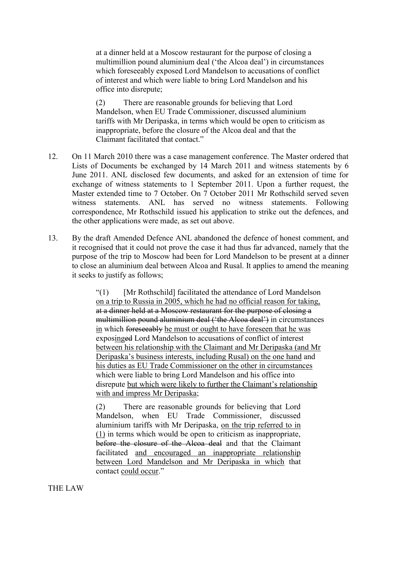at a dinner held at a Moscow restaurant for the purpose of closing a multimillion pound aluminium deal ("the Alcoa deal") in circumstances which foreseeably exposed Lord Mandelson to accusations of conflict of interest and which were liable to bring Lord Mandelson and his office into disrepute;

(2) There are reasonable grounds for believing that Lord Mandelson, when EU Trade Commissioner, discussed aluminium tariffs with Mr Deripaska, in terms which would be open to criticism as inappropriate, before the closure of the Alcoa deal and that the Claimant facilitated that contact."

- 12. On 11 March 2010 there was a case management conference. The Master ordered that Lists of Documents be exchanged by 14 March 2011 and witness statements by 6 June 2011. ANL disclosed few documents, and asked for an extension of time for exchange of witness statements to 1 September 2011. Upon a further request, the Master extended time to 7 October. On 7 October 2011 Mr Rothschild served seven witness statements. ANL has served no witness statements. Following correspondence, Mr Rothschild issued his application to strike out the defences, and the other applications were made, as set out above.
- 13. By the draft Amended Defence ANL abandoned the defence of honest comment, and it recognised that it could not prove the case it had thus far advanced, namely that the purpose of the trip to Moscow had been for Lord Mandelson to be present at a dinner to close an aluminium deal between Alcoa and Rusal. It applies to amend the meaning it seeks to justify as follows;

"(1) [Mr Rothschild] facilitated the attendance of Lord Mandelson on a trip to Russia in 2005, which he had no official reason for taking, at a dinner held at a Moscow restaurant for the purpose of closing a multimillion pound aluminium deal ('the Alcoa deal') in circumstances in which foreseeably he must or ought to have foreseen that he was exposinged Lord Mandelson to accusations of conflict of interest between his relationship with the Claimant and Mr Deripaska (and Mr Deripaska"s business interests, including Rusal) on the one hand and his duties as EU Trade Commissioner on the other in circumstances which were liable to bring Lord Mandelson and his office into disrepute but which were likely to further the Claimant's relationship with and impress Mr Deripaska;

(2) There are reasonable grounds for believing that Lord Mandelson, when EU Trade Commissioner, discussed aluminium tariffs with Mr Deripaska, on the trip referred to in (1) in terms which would be open to criticism as inappropriate, before the closure of the Alcoa deal and that the Claimant facilitated and encouraged an inappropriate relationship between Lord Mandelson and Mr Deripaska in which that contact could occur."

THE LAW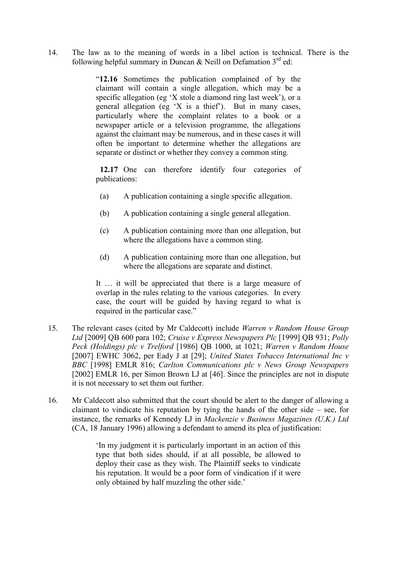14. The law as to the meaning of words in a libel action is technical. There is the following helpful summary in Duncan & Neill on Defamation  $3<sup>rd</sup>$  ed:

> "**12.16** Sometimes the publication complained of by the claimant will contain a single allegation, which may be a specific allegation (eg "X stole a diamond ring last week"), or a general allegation (eg "X is a thief"). But in many cases, particularly where the complaint relates to a book or a newspaper article or a television programme, the allegations against the claimant may be numerous, and in these cases it will often be important to determine whether the allegations are separate or distinct or whether they convey a common sting.

> **12.17** One can therefore identify four categories of publications:

- (a) A publication containing a single specific allegation.
- (b) A publication containing a single general allegation.
- (c) A publication containing more than one allegation, but where the allegations have a common sting.
- (d) A publication containing more than one allegation, but where the allegations are separate and distinct.

It … it will be appreciated that there is a large measure of overlap in the rules relating to the various categories. In every case, the court will be guided by having regard to what is required in the particular case."

- 15. The relevant cases (cited by Mr Caldecott) include *Warren v Random House Group Ltd* [2009] QB 600 para 102; *Cruise v Express Newspapers Plc* [1999] QB 931; *Polly Peck (Holdings) plc v Trelford* [1986] QB 1000, at 1021; *Warren v Random House*  [2007] EWHC 3062, per Eady J at [29]; *United States Tobacco International Inc v BBC* [1998] EMLR 816; *Carlton Communications plc v News Group Newspapers* [2002] EMLR 16, per Simon Brown LJ at [46]. Since the principles are not in dispute it is not necessary to set them out further.
- 16. Mr Caldecott also submitted that the court should be alert to the danger of allowing a claimant to vindicate his reputation by tying the hands of the other side – see, for instance, the remarks of Kennedy LJ in *Mackenzie v Business Magazines (U.K.) Ltd* (CA, 18 January 1996) allowing a defendant to amend its plea of justification:

"In my judgment it is particularly important in an action of this type that both sides should, if at all possible, be allowed to deploy their case as they wish. The Plaintiff seeks to vindicate his reputation. It would be a poor form of vindication if it were only obtained by half muzzling the other side."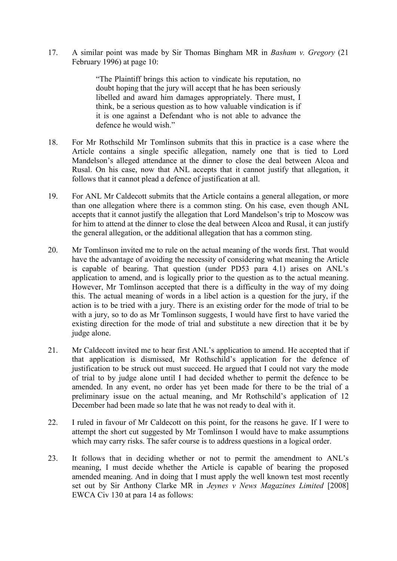17. A similar point was made by Sir Thomas Bingham MR in *Basham v. Gregory* (21 February 1996) at page 10:

> "The Plaintiff brings this action to vindicate his reputation, no doubt hoping that the jury will accept that he has been seriously libelled and award him damages appropriately. There must, I think, be a serious question as to how valuable vindication is if it is one against a Defendant who is not able to advance the defence he would wish."

- 18. For Mr Rothschild Mr Tomlinson submits that this in practice is a case where the Article contains a single specific allegation, namely one that is tied to Lord Mandelson"s alleged attendance at the dinner to close the deal between Alcoa and Rusal. On his case, now that ANL accepts that it cannot justify that allegation, it follows that it cannot plead a defence of justification at all.
- 19. For ANL Mr Caldecott submits that the Article contains a general allegation, or more than one allegation where there is a common sting. On his case, even though ANL accepts that it cannot justify the allegation that Lord Mandelson"s trip to Moscow was for him to attend at the dinner to close the deal between Alcoa and Rusal, it can justify the general allegation, or the additional allegation that has a common sting.
- 20. Mr Tomlinson invited me to rule on the actual meaning of the words first. That would have the advantage of avoiding the necessity of considering what meaning the Article is capable of bearing. That question (under PD53 para 4.1) arises on ANL"s application to amend, and is logically prior to the question as to the actual meaning. However, Mr Tomlinson accepted that there is a difficulty in the way of my doing this. The actual meaning of words in a libel action is a question for the jury, if the action is to be tried with a jury. There is an existing order for the mode of trial to be with a jury, so to do as Mr Tomlinson suggests, I would have first to have varied the existing direction for the mode of trial and substitute a new direction that it be by judge alone.
- 21. Mr Caldecott invited me to hear first ANL"s application to amend. He accepted that if that application is dismissed, Mr Rothschild"s application for the defence of justification to be struck out must succeed. He argued that I could not vary the mode of trial to by judge alone until I had decided whether to permit the defence to be amended. In any event, no order has yet been made for there to be the trial of a preliminary issue on the actual meaning, and Mr Rothschild"s application of 12 December had been made so late that he was not ready to deal with it.
- 22. I ruled in favour of Mr Caldecott on this point, for the reasons he gave. If I were to attempt the short cut suggested by Mr Tomlinson I would have to make assumptions which may carry risks. The safer course is to address questions in a logical order.
- 23. It follows that in deciding whether or not to permit the amendment to ANL"s meaning, I must decide whether the Article is capable of bearing the proposed amended meaning. And in doing that I must apply the well known test most recently set out by Sir Anthony Clarke MR in *Jeynes v News Magazines Limited* [\[2008\]](http://www.bailii.org/ew/cases/EWCA/Civ/2008/130.html)  [EWCA Civ 130](http://www.bailii.org/ew/cases/EWCA/Civ/2008/130.html) at para 14 as follows: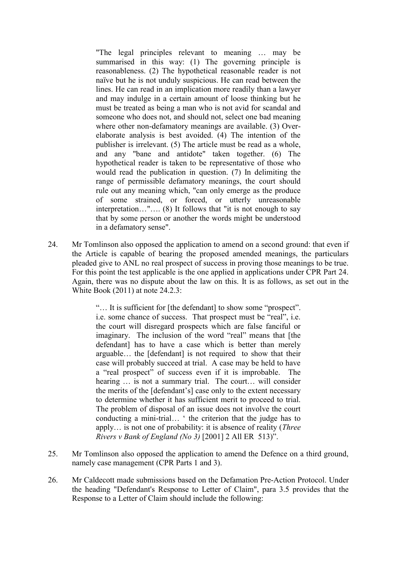"The legal principles relevant to meaning … may be summarised in this way: (1) The governing principle is reasonableness. (2) The hypothetical reasonable reader is not naïve but he is not unduly suspicious. He can read between the lines. He can read in an implication more readily than a lawyer and may indulge in a certain amount of loose thinking but he must be treated as being a man who is not avid for scandal and someone who does not, and should not, select one bad meaning where other non-defamatory meanings are available. (3) Overelaborate analysis is best avoided. (4) The intention of the publisher is irrelevant. (5) The article must be read as a whole, and any "bane and antidote" taken together. (6) The hypothetical reader is taken to be representative of those who would read the publication in question. (7) In delimiting the range of permissible defamatory meanings, the court should rule out any meaning which, "can only emerge as the produce of some strained, or forced, or utterly unreasonable interpretation…"…. (8) It follows that "it is not enough to say that by some person or another the words might be understood in a defamatory sense".

24. Mr Tomlinson also opposed the application to amend on a second ground: that even if the Article is capable of bearing the proposed amended meanings, the particulars pleaded give to ANL no real prospect of success in proving those meanings to be true. For this point the test applicable is the one applied in applications under CPR Part 24. Again, there was no dispute about the law on this. It is as follows, as set out in the White Book (2011) at note 24.2.3:

> "… It is sufficient for [the defendant] to show some "prospect". i.e. some chance of success. That prospect must be "real", i.e. the court will disregard prospects which are false fanciful or imaginary. The inclusion of the word "real" means that [the defendant] has to have a case which is better than merely arguable… the [defendant] is not required to show that their case will probably succeed at trial. A case may be held to have a "real prospect" of success even if it is improbable. The hearing … is not a summary trial. The court… will consider the merits of the [defendant"s] case only to the extent necessary to determine whether it has sufficient merit to proceed to trial. The problem of disposal of an issue does not involve the court conducting a mini-trial... ' the criterion that the judge has to apply… is not one of probability: it is absence of reality (*Three Rivers v Bank of England (No 3)* [2001] 2 All ER 513)".

- 25. Mr Tomlinson also opposed the application to amend the Defence on a third ground, namely case management (CPR Parts 1 and 3).
- 26. Mr Caldecott made submissions based on the Defamation Pre-Action Protocol. Under the heading "Defendant's Response to Letter of Claim", para 3.5 provides that the Response to a Letter of Claim should include the following: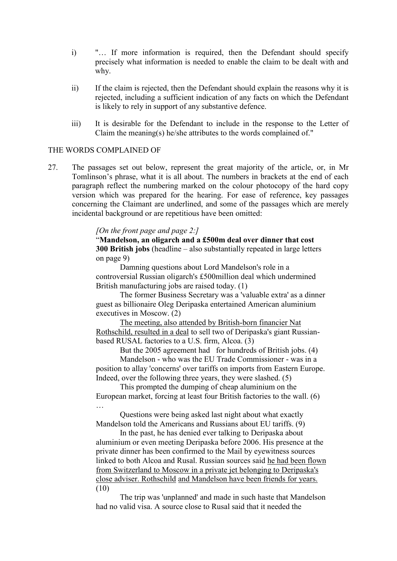- i) "… If more information is required, then the Defendant should specify precisely what information is needed to enable the claim to be dealt with and why.
- ii) If the claim is rejected, then the Defendant should explain the reasons why it is rejected, including a sufficient indication of any facts on which the Defendant is likely to rely in support of any substantive defence.
- iii) It is desirable for the Defendant to include in the response to the Letter of Claim the meaning(s) he/she attributes to the words complained of."

#### THE WORDS COMPLAINED OF

27. The passages set out below, represent the great majority of the article, or, in Mr Tomlinson"s phrase, what it is all about. The numbers in brackets at the end of each paragraph reflect the numbering marked on the colour photocopy of the hard copy version which was prepared for the hearing. For ease of reference, key passages concerning the Claimant are underlined, and some of the passages which are merely incidental background or are repetitious have been omitted:

## *[On the front page and page 2:]*

"**Mandelson, an oligarch and a £500m deal over dinner that cost 300 British jobs** (headline – also substantially repeated in large letters on page 9)

Damning questions about Lord Mandelson's role in a controversial Russian oligarch's £500million deal which undermined British manufacturing jobs are raised today. (1)

The former Business Secretary was a 'valuable extra' as a dinner guest as billionaire Oleg Deripaska entertained American aluminium executives in Moscow. (2)

The meeting, also attended by British-born financier Nat Rothschild, resulted in a deal to sell two of Deripaska's giant Russianbased RUSAL factories to a U.S. firm, Alcoa. (3)

But the 2005 agreement had for hundreds of British jobs. (4)

Mandelson - who was the EU Trade Commissioner - was in a position to allay 'concerns' over tariffs on imports from Eastern Europe. Indeed, over the following three years, they were slashed. (5)

This prompted the dumping of cheap aluminium on the European market, forcing at least four British factories to the wall. (6) …

Questions were being asked last night about what exactly Mandelson told the Americans and Russians about EU tariffs. (9)

In the past, he has denied ever talking to Deripaska about aluminium or even meeting Deripaska before 2006. His presence at the private dinner has been confirmed to the Mail by eyewitness sources linked to both Alcoa and Rusal. Russian sources said he had been flown from Switzerland to Moscow in a private jet belonging to Deripaska's close adviser. Rothschild and Mandelson have been friends for years. (10)

The trip was 'unplanned' and made in such haste that Mandelson had no valid visa. A source close to Rusal said that it needed the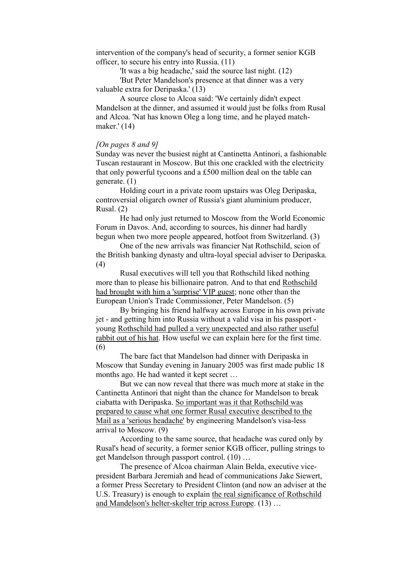intervention of the company's head of security, a former senior KGB officer, to secure his entry into Russia. (11)

'It was a big headache,' said the source last night. (12)

'But Peter Mandelson's presence at that dinner was a very valuable extra for Deripaska.' (13)

A source close to Alcoa said: 'We certainly didn't expect Mandelson at the dinner, and assumed it would just be folks from Rusal and Alcoa. 'Nat has known Oleg a long time, and he played matchmaker.' (14)

#### *[On pages 8 and 9]*

Sunday was never the busiest night at Cantinetta Antinori, a fashionable Tuscan restaurant in Moscow. But this one crackled with the electricity that only powerful tycoons and a £500 million deal on the table can generate. (1)

Holding court in a private room upstairs was Oleg Deripaska, controversial oligarch owner of Russia's giant aluminium producer, Rusal. (2)

He had only just returned to Moscow from the World Economic Forum in Davos. And, according to sources, his dinner had hardly begun when two more people appeared, hotfoot from Switzerland. (3)

One of the new arrivals was financier Nat Rothschild, scion of the British banking dynasty and ultra-loyal special adviser to Deripaska. (4)

Rusal executives will tell you that Rothschild liked nothing more than to please his billionaire patron. And to that end Rothschild had brought with him a 'surprise' VIP guest; none other than the European Union's Trade Commissioner, Peter Mandelson. (5)

By bringing his friend halfway across Europe in his own private jet - and getting him into Russia without a valid visa in his passport young Rothschild had pulled a very unexpected and also rather useful rabbit out of his hat. How useful we can explain here for the first time. (6)

The bare fact that Mandelson had dinner with Deripaska in Moscow that Sunday evening in January 2005 was first made public 18 months ago. He had wanted it kept secret …

But we can now reveal that there was much more at stake in the Cantinetta Antinori that night than the chance for Mandelson to break ciabatta with Deripaska. So important was it that Rothschild was prepared to cause what one former Rusal executive described to the Mail as a 'serious headache' by engineering Mandelson's visa-less arrival to Moscow. (9)

According to the same source, that headache was cured only by Rusal's head of security, a former senior KGB officer, pulling strings to get Mandelson through passport control. (10) …

The presence of Alcoa chairman Alain Belda, executive vicepresident Barbara Jeremiah and head of communications Jake Siewert, a former Press Secretary to President Clinton (and now an adviser at the U.S. Treasury) is enough to explain the real significance of Rothschild and Mandelson's helter-skelter trip across Europe. (13) …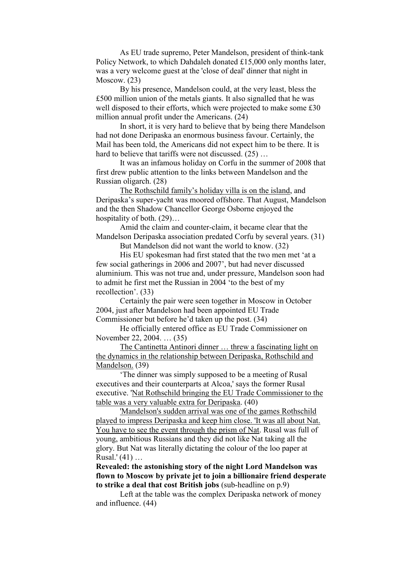As EU trade supremo, Peter Mandelson, president of think-tank Policy Network, to which Dahdaleh donated £15,000 only months later, was a very welcome guest at the 'close of deal' dinner that night in Moscow. (23)

By his presence, Mandelson could, at the very least, bless the £500 million union of the metals giants. It also signalled that he was well disposed to their efforts, which were projected to make some £30 million annual profit under the Americans. (24)

In short, it is very hard to believe that by being there Mandelson had not done Deripaska an enormous business favour. Certainly, the Mail has been told, the Americans did not expect him to be there. It is hard to believe that tariffs were not discussed. (25) ...

It was an infamous holiday on Corfu in the summer of 2008 that first drew public attention to the links between Mandelson and the Russian oligarch. (28)

The Rothschild family"s holiday villa is on the island, and Deripaska"s super-yacht was moored offshore. That August, Mandelson and the then Shadow Chancellor George Osborne enjoyed the hospitality of both.  $(29)$ ...

Amid the claim and counter-claim, it became clear that the Mandelson Deripaska association predated Corfu by several years. (31)

But Mandelson did not want the world to know. (32)

His EU spokesman had first stated that the two men met "at a few social gatherings in 2006 and 2007", but had never discussed aluminium. This was not true and, under pressure, Mandelson soon had to admit he first met the Russian in 2004 "to the best of my recollection". (33)

Certainly the pair were seen together in Moscow in October 2004, just after Mandelson had been appointed EU Trade Commissioner but before he"d taken up the post. (34)

He officially entered office as EU Trade Commissioner on November 22, 2004. … (35)

The Cantinetta Antinori dinner … threw a fascinating light on the dynamics in the relationship between Deripaska, Rothschild and Mandelson<sub>.</sub> (39)

"The dinner was simply supposed to be a meeting of Rusal executives and their counterparts at Alcoa,' says the former Rusal executive. 'Nat Rothschild bringing the EU Trade Commissioner to the table was a very valuable extra for Deripaska. (40)

'Mandelson's sudden arrival was one of the games Rothschild played to impress Deripaska and keep him close. 'It was all about Nat. You have to see the event through the prism of Nat. Rusal was full of young, ambitious Russians and they did not like Nat taking all the glory. But Nat was literally dictating the colour of the loo paper at Rusal.' (41) …

**Revealed: the astonishing story of the night Lord Mandelson was flown to Moscow by private jet to join a billionaire friend desperate to strike a deal that cost British jobs** (sub-headline on p.9)

Left at the table was the complex Deripaska network of money and influence. (44)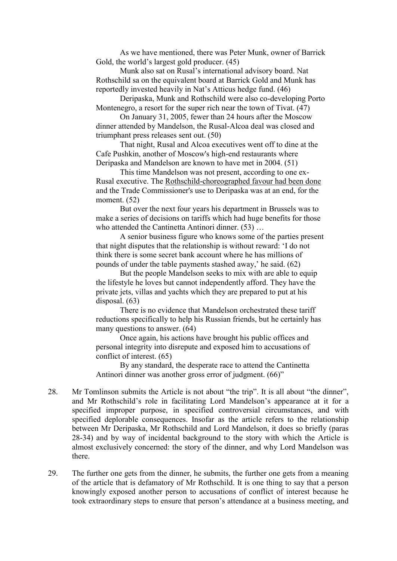As we have mentioned, there was Peter Munk, owner of Barrick Gold, the world"s largest gold producer. (45)

Munk also sat on Rusal"s international advisory board. Nat Rothschild sa on the equivalent board at Barrick Gold and Munk has reportedly invested heavily in Nat"s Atticus hedge fund. (46)

Deripaska, Munk and Rothschild were also co-developing Porto Montenegro, a resort for the super rich near the town of Tivat. (47)

On January 31, 2005, fewer than 24 hours after the Moscow dinner attended by Mandelson, the Rusal-Alcoa deal was closed and triumphant press releases sent out. (50)

That night, Rusal and Alcoa executives went off to dine at the Cafe Pushkin, another of Moscow's high-end restaurants where Deripaska and Mandelson are known to have met in 2004. (51)

This time Mandelson was not present, according to one ex-Rusal executive. The Rothschild-choreographed favour had been done and the Trade Commissioner's use to Deripaska was at an end, for the moment. (52)

But over the next four years his department in Brussels was to make a series of decisions on tariffs which had huge benefits for those who attended the Cantinetta Antinori dinner. (53) …

A senior business figure who knows some of the parties present that night disputes that the relationship is without reward: "I do not think there is some secret bank account where he has millions of pounds of under the table payments stashed away," he said. (62)

But the people Mandelson seeks to mix with are able to equip the lifestyle he loves but cannot independently afford. They have the private jets, villas and yachts which they are prepared to put at his disposal. (63)

There is no evidence that Mandelson orchestrated these tariff reductions specifically to help his Russian friends, but he certainly has many questions to answer. (64)

Once again, his actions have brought his public offices and personal integrity into disrepute and exposed him to accusations of conflict of interest. (65)

By any standard, the desperate race to attend the Cantinetta Antinori dinner was another gross error of judgment. (66)"

- 28. Mr Tomlinson submits the Article is not about "the trip". It is all about "the dinner", and Mr Rothschild"s role in facilitating Lord Mandelson"s appearance at it for a specified improper purpose, in specified controversial circumstances, and with specified deplorable consequences. Insofar as the article refers to the relationship between Mr Deripaska, Mr Rothschild and Lord Mandelson, it does so briefly (paras 28-34) and by way of incidental background to the story with which the Article is almost exclusively concerned: the story of the dinner, and why Lord Mandelson was there.
- 29. The further one gets from the dinner, he submits, the further one gets from a meaning of the article that is defamatory of Mr Rothschild. It is one thing to say that a person knowingly exposed another person to accusations of conflict of interest because he took extraordinary steps to ensure that person"s attendance at a business meeting, and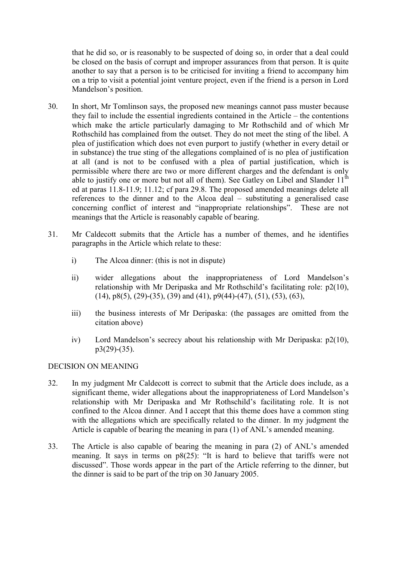that he did so, or is reasonably to be suspected of doing so, in order that a deal could be closed on the basis of corrupt and improper assurances from that person. It is quite another to say that a person is to be criticised for inviting a friend to accompany him on a trip to visit a potential joint venture project, even if the friend is a person in Lord Mandelson"s position.

- 30. In short, Mr Tomlinson says, the proposed new meanings cannot pass muster because they fail to include the essential ingredients contained in the Article – the contentions which make the article particularly damaging to Mr Rothschild and of which Mr Rothschild has complained from the outset. They do not meet the sting of the libel. A plea of justification which does not even purport to justify (whether in every detail or in substance) the true sting of the allegations complained of is no plea of justification at all (and is not to be confused with a plea of partial justification, which is permissible where there are two or more different charges and the defendant is only able to justify one or more but not all of them). See Gatley on Libel and Slander  $11^{th}$ ed at paras 11.8-11.9; 11.12; cf para 29.8. The proposed amended meanings delete all references to the dinner and to the Alcoa deal – substituting a generalised case concerning conflict of interest and "inappropriate relationships". These are not meanings that the Article is reasonably capable of bearing.
- 31. Mr Caldecott submits that the Article has a number of themes, and he identifies paragraphs in the Article which relate to these:
	- i) The Alcoa dinner: (this is not in dispute)
	- ii) wider allegations about the inappropriateness of Lord Mandelson"s relationship with Mr Deripaska and Mr Rothschild"s facilitating role: p2(10),  $(14)$ , p8(5), (29)-(35), (39) and (41), p9(44)-(47), (51), (53), (63),
	- iii) the business interests of Mr Deripaska: (the passages are omitted from the citation above)
	- iv) Lord Mandelson"s secrecy about his relationship with Mr Deripaska: p2(10),  $p3(29)-(35)$ .

# DECISION ON MEANING

- 32. In my judgment Mr Caldecott is correct to submit that the Article does include, as a significant theme, wider allegations about the inappropriateness of Lord Mandelson"s relationship with Mr Deripaska and Mr Rothschild"s facilitating role. It is not confined to the Alcoa dinner. And I accept that this theme does have a common sting with the allegations which are specifically related to the dinner. In my judgment the Article is capable of bearing the meaning in para (1) of ANL"s amended meaning.
- 33. The Article is also capable of bearing the meaning in para (2) of ANL"s amended meaning. It says in terms on p8(25): "It is hard to believe that tariffs were not discussed". Those words appear in the part of the Article referring to the dinner, but the dinner is said to be part of the trip on 30 January 2005.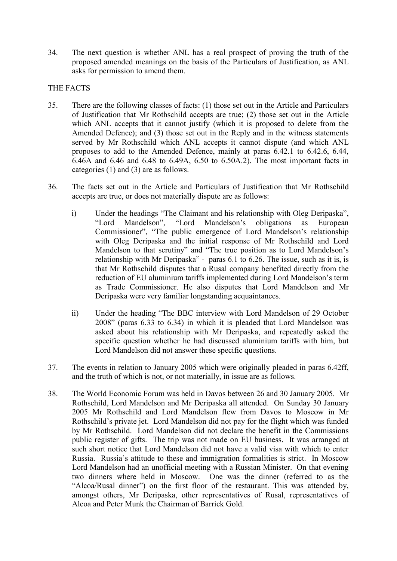34. The next question is whether ANL has a real prospect of proving the truth of the proposed amended meanings on the basis of the Particulars of Justification, as ANL asks for permission to amend them.

## THE FACTS

- 35. There are the following classes of facts: (1) those set out in the Article and Particulars of Justification that Mr Rothschild accepts are true; (2) those set out in the Article which ANL accepts that it cannot justify (which it is proposed to delete from the Amended Defence); and (3) those set out in the Reply and in the witness statements served by Mr Rothschild which ANL accepts it cannot dispute (and which ANL proposes to add to the Amended Defence, mainly at paras 6.42.1 to 6.42.6, 6.44, 6.46A and 6.46 and 6.48 to 6.49A, 6.50 to 6.50A.2). The most important facts in categories (1) and (3) are as follows.
- 36. The facts set out in the Article and Particulars of Justification that Mr Rothschild accepts are true, or does not materially dispute are as follows:
	- i) Under the headings "The Claimant and his relationship with Oleg Deripaska", "Lord Mandelson", "Lord Mandelson"s obligations as European Commissioner", "The public emergence of Lord Mandelson"s relationship with Oleg Deripaska and the initial response of Mr Rothschild and Lord Mandelson to that scrutiny" and "The true position as to Lord Mandelson"s relationship with Mr Deripaska" - paras 6.1 to 6.26. The issue, such as it is, is that Mr Rothschild disputes that a Rusal company benefited directly from the reduction of EU aluminium tariffs implemented during Lord Mandelson"s term as Trade Commissioner. He also disputes that Lord Mandelson and Mr Deripaska were very familiar longstanding acquaintances.
	- ii) Under the heading "The BBC interview with Lord Mandelson of 29 October 2008" (paras 6.33 to 6.34) in which it is pleaded that Lord Mandelson was asked about his relationship with Mr Deripaska, and repeatedly asked the specific question whether he had discussed aluminium tariffs with him, but Lord Mandelson did not answer these specific questions.
- 37. The events in relation to January 2005 which were originally pleaded in paras 6.42ff, and the truth of which is not, or not materially, in issue are as follows.
- 38. The World Economic Forum was held in Davos between 26 and 30 January 2005. Mr Rothschild, Lord Mandelson and Mr Deripaska all attended. On Sunday 30 January 2005 Mr Rothschild and Lord Mandelson flew from Davos to Moscow in Mr Rothschild"s private jet. Lord Mandelson did not pay for the flight which was funded by Mr Rothschild. Lord Mandelson did not declare the benefit in the Commissions public register of gifts. The trip was not made on EU business. It was arranged at such short notice that Lord Mandelson did not have a valid visa with which to enter Russia. Russia"s attitude to these and immigration formalities is strict. In Moscow Lord Mandelson had an unofficial meeting with a Russian Minister. On that evening two dinners where held in Moscow. One was the dinner (referred to as the "Alcoa/Rusal dinner") on the first floor of the restaurant. This was attended by, amongst others, Mr Deripaska, other representatives of Rusal, representatives of Alcoa and Peter Munk the Chairman of Barrick Gold.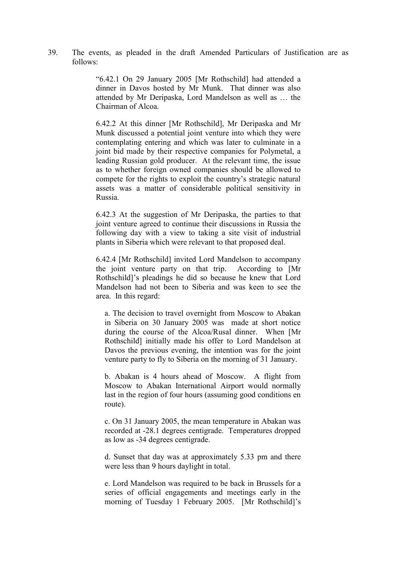39. The events, as pleaded in the draft Amended Particulars of Justification are as follows:

> "6.42.1 On 29 January 2005 [Mr Rothschild] had attended a dinner in Davos hosted by Mr Munk. That dinner was also attended by Mr Deripaska, Lord Mandelson as well as … the Chairman of Alcoa.

> 6.42.2 At this dinner [Mr Rothschild], Mr Deripaska and Mr Munk discussed a potential joint venture into which they were contemplating entering and which was later to culminate in a joint bid made by their respective companies for Polymetal, a leading Russian gold producer. At the relevant time, the issue as to whether foreign owned companies should be allowed to compete for the rights to exploit the country"s strategic natural assets was a matter of considerable political sensitivity in Russia.

> 6.42.3 At the suggestion of Mr Deripaska, the parties to that joint venture agreed to continue their discussions in Russia the following day with a view to taking a site visit of industrial plants in Siberia which were relevant to that proposed deal.

> 6.42.4 [Mr Rothschild] invited Lord Mandelson to accompany the joint venture party on that trip. According to [Mr Rothschild]"s pleadings he did so because he knew that Lord Mandelson had not been to Siberia and was keen to see the area. In this regard:

a. The decision to travel overnight from Moscow to Abakan in Siberia on 30 January 2005 was made at short notice during the course of the Alcoa/Rusal dinner. When [Mr Rothschild] initially made his offer to Lord Mandelson at Davos the previous evening, the intention was for the joint venture party to fly to Siberia on the morning of 31 January.

b. Abakan is 4 hours ahead of Moscow. A flight from Moscow to Abakan International Airport would normally last in the region of four hours (assuming good conditions en route).

c. On 31 January 2005, the mean temperature in Abakan was recorded at -28.1 degrees centigrade. Temperatures dropped as low as -34 degrees centigrade.

d. Sunset that day was at approximately 5.33 pm and there were less than 9 hours daylight in total.

e. Lord Mandelson was required to be back in Brussels for a series of official engagements and meetings early in the morning of Tuesday 1 February 2005. [Mr Rothschild]'s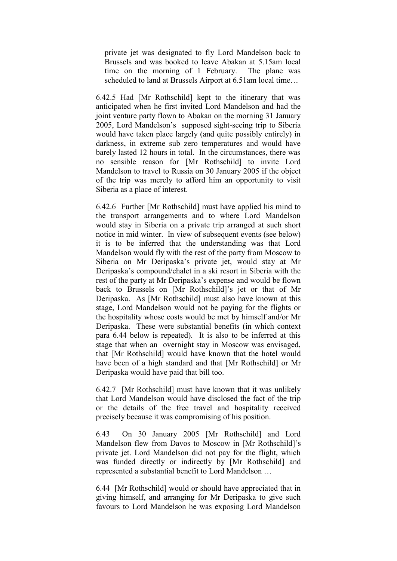private jet was designated to fly Lord Mandelson back to Brussels and was booked to leave Abakan at 5.15am local time on the morning of 1 February. The plane was scheduled to land at Brussels Airport at 6.51am local time…

6.42.5 Had [Mr Rothschild] kept to the itinerary that was anticipated when he first invited Lord Mandelson and had the joint venture party flown to Abakan on the morning 31 January 2005, Lord Mandelson"s supposed sight-seeing trip to Siberia would have taken place largely (and quite possibly entirely) in darkness, in extreme sub zero temperatures and would have barely lasted 12 hours in total. In the circumstances, there was no sensible reason for [Mr Rothschild] to invite Lord Mandelson to travel to Russia on 30 January 2005 if the object of the trip was merely to afford him an opportunity to visit Siberia as a place of interest.

6.42.6 Further [Mr Rothschild] must have applied his mind to the transport arrangements and to where Lord Mandelson would stay in Siberia on a private trip arranged at such short notice in mid winter. In view of subsequent events (see below) it is to be inferred that the understanding was that Lord Mandelson would fly with the rest of the party from Moscow to Siberia on Mr Deripaska's private jet, would stay at Mr Deripaska"s compound/chalet in a ski resort in Siberia with the rest of the party at Mr Deripaska"s expense and would be flown back to Brussels on [Mr Rothschild]'s jet or that of Mr Deripaska. As [Mr Rothschild] must also have known at this stage, Lord Mandelson would not be paying for the flights or the hospitality whose costs would be met by himself and/or Mr Deripaska. These were substantial benefits (in which context para 6.44 below is repeated). It is also to be inferred at this stage that when an overnight stay in Moscow was envisaged, that [Mr Rothschild] would have known that the hotel would have been of a high standard and that [Mr Rothschild] or Mr Deripaska would have paid that bill too.

6.42.7 [Mr Rothschild] must have known that it was unlikely that Lord Mandelson would have disclosed the fact of the trip or the details of the free travel and hospitality received precisely because it was compromising of his position.

6.43 On 30 January 2005 [Mr Rothschild] and Lord Mandelson flew from Davos to Moscow in [Mr Rothschild]"s private jet. Lord Mandelson did not pay for the flight, which was funded directly or indirectly by [Mr Rothschild] and represented a substantial benefit to Lord Mandelson …

6.44 [Mr Rothschild] would or should have appreciated that in giving himself, and arranging for Mr Deripaska to give such favours to Lord Mandelson he was exposing Lord Mandelson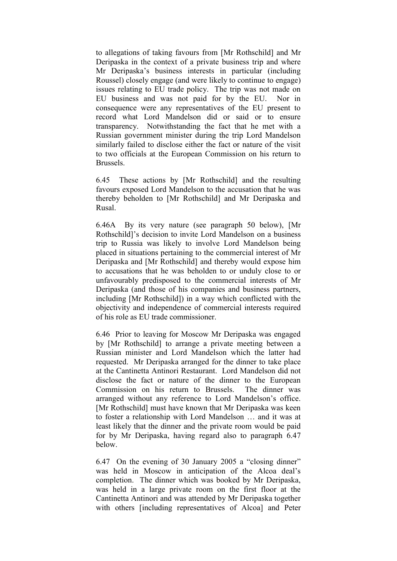to allegations of taking favours from [Mr Rothschild] and Mr Deripaska in the context of a private business trip and where Mr Deripaska"s business interests in particular (including Roussel) closely engage (and were likely to continue to engage) issues relating to EU trade policy. The trip was not made on EU business and was not paid for by the EU. Nor in consequence were any representatives of the EU present to record what Lord Mandelson did or said or to ensure transparency. Notwithstanding the fact that he met with a Russian government minister during the trip Lord Mandelson similarly failed to disclose either the fact or nature of the visit to two officials at the European Commission on his return to Brussels.

6.45 These actions by [Mr Rothschild] and the resulting favours exposed Lord Mandelson to the accusation that he was thereby beholden to [Mr Rothschild] and Mr Deripaska and Rusal.

6.46A By its very nature (see paragraph 50 below), [Mr Rothschild]"s decision to invite Lord Mandelson on a business trip to Russia was likely to involve Lord Mandelson being placed in situations pertaining to the commercial interest of Mr Deripaska and [Mr Rothschild] and thereby would expose him to accusations that he was beholden to or unduly close to or unfavourably predisposed to the commercial interests of Mr Deripaska (and those of his companies and business partners, including [Mr Rothschild]) in a way which conflicted with the objectivity and independence of commercial interests required of his role as EU trade commissioner.

6.46 Prior to leaving for Moscow Mr Deripaska was engaged by [Mr Rothschild] to arrange a private meeting between a Russian minister and Lord Mandelson which the latter had requested. Mr Deripaska arranged for the dinner to take place at the Cantinetta Antinori Restaurant. Lord Mandelson did not disclose the fact or nature of the dinner to the European Commission on his return to Brussels. The dinner was arranged without any reference to Lord Mandelson"s office. [Mr Rothschild] must have known that Mr Deripaska was keen to foster a relationship with Lord Mandelson … and it was at least likely that the dinner and the private room would be paid for by Mr Deripaska, having regard also to paragraph 6.47 below.

6.47 On the evening of 30 January 2005 a "closing dinner" was held in Moscow in anticipation of the Alcoa deal"s completion. The dinner which was booked by Mr Deripaska, was held in a large private room on the first floor at the Cantinetta Antinori and was attended by Mr Deripaska together with others [including representatives of Alcoa] and Peter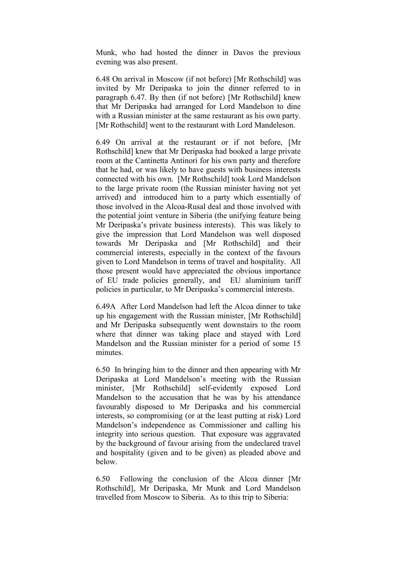Munk, who had hosted the dinner in Davos the previous evening was also present.

6.48 On arrival in Moscow (if not before) [Mr Rothschild] was invited by Mr Deripaska to join the dinner referred to in paragraph 6.47. By then (if not before) [Mr Rothschild] knew that Mr Deripaska had arranged for Lord Mandelson to dine with a Russian minister at the same restaurant as his own party. [Mr Rothschild] went to the restaurant with Lord Mandeleson.

6.49 On arrival at the restaurant or if not before, [Mr Rothschild] knew that Mr Deripaska had booked a large private room at the Cantinetta Antinori for his own party and therefore that he had, or was likely to have guests with business interests connected with his own. [Mr Rothschild] took Lord Mandelson to the large private room (the Russian minister having not yet arrived) and introduced him to a party which essentially of those involved in the Alcoa-Rusal deal and those involved with the potential joint venture in Siberia (the unifying feature being Mr Deripaska"s private business interests). This was likely to give the impression that Lord Mandelson was well disposed towards Mr Deripaska and [Mr Rothschild] and their commercial interests, especially in the context of the favours given to Lord Mandelson in terms of travel and hospitality. All those present would have appreciated the obvious importance of EU trade policies generally, and EU aluminium tariff policies in particular, to Mr Deripaska"s commercial interests.

6.49A After Lord Mandelson had left the Alcoa dinner to take up his engagement with the Russian minister, [Mr Rothschild] and Mr Deripaska subsequently went downstairs to the room where that dinner was taking place and stayed with Lord Mandelson and the Russian minister for a period of some 15 minutes.

6.50 In bringing him to the dinner and then appearing with Mr Deripaska at Lord Mandelson"s meeting with the Russian minister, [Mr Rothschild] self-evidently exposed Lord Mandelson to the accusation that he was by his attendance favourably disposed to Mr Deripaska and his commercial interests, so compromising (or at the least putting at risk) Lord Mandelson"s independence as Commissioner and calling his integrity into serious question. That exposure was aggravated by the background of favour arising from the undeclared travel and hospitality (given and to be given) as pleaded above and below.

6.50 Following the conclusion of the Alcoa dinner [Mr Rothschild], Mr Deripaska, Mr Munk and Lord Mandelson travelled from Moscow to Siberia. As to this trip to Siberia: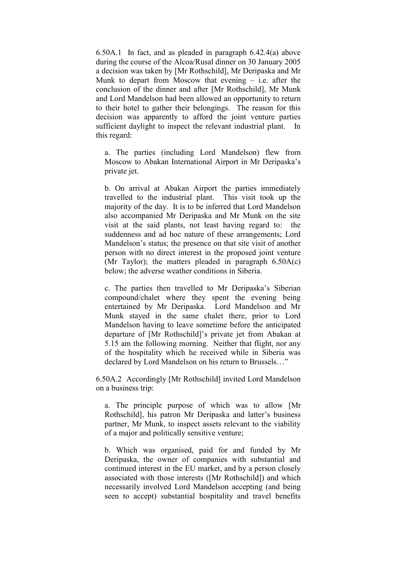6.50A.1 In fact, and as pleaded in paragraph 6.42.4(a) above during the course of the Alcoa/Rusal dinner on 30 January 2005 a decision was taken by [Mr Rothschild], Mr Deripaska and Mr Munk to depart from Moscow that evening  $-$  i.e. after the conclusion of the dinner and after [Mr Rothschild], Mr Munk and Lord Mandelson had been allowed an opportunity to return to their hotel to gather their belongings. The reason for this decision was apparently to afford the joint venture parties sufficient daylight to inspect the relevant industrial plant. In this regard:

a. The parties (including Lord Mandelson) flew from Moscow to Abakan International Airport in Mr Deripaska"s private jet.

b. On arrival at Abakan Airport the parties immediately travelled to the industrial plant. This visit took up the majority of the day. It is to be inferred that Lord Mandelson also accompanied Mr Deripaska and Mr Munk on the site visit at the said plants, not least having regard to: the suddenness and ad hoc nature of these arrangements; Lord Mandelson's status; the presence on that site visit of another person with no direct interest in the proposed joint venture (Mr Taylor); the matters pleaded in paragraph 6.50A(c) below; the adverse weather conditions in Siberia.

c. The parties then travelled to Mr Deripaska"s Siberian compound/chalet where they spent the evening being entertained by Mr Deripaska. Lord Mandelson and Mr Munk stayed in the same chalet there, prior to Lord Mandelson having to leave sometime before the anticipated departure of [Mr Rothschild]"s private jet from Abakan at 5.15 am the following morning. Neither that flight, nor any of the hospitality which he received while in Siberia was declared by Lord Mandelson on his return to Brussels…"

6.50A.2 Accordingly [Mr Rothschild] invited Lord Mandelson on a business trip:

a. The principle purpose of which was to allow [Mr Rothschild], his patron Mr Deripaska and latter's business partner, Mr Munk, to inspect assets relevant to the viability of a major and politically sensitive venture;

b. Which was organised, paid for and funded by Mr Deripaska, the owner of companies with substantial and continued interest in the EU market, and by a person closely associated with those interests ([Mr Rothschild]) and which necessarily involved Lord Mandelson accepting (and being seen to accept) substantial hospitality and travel benefits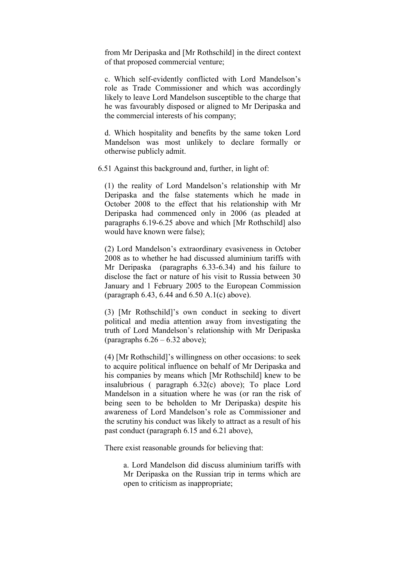from Mr Deripaska and [Mr Rothschild] in the direct context of that proposed commercial venture;

c. Which self-evidently conflicted with Lord Mandelson"s role as Trade Commissioner and which was accordingly likely to leave Lord Mandelson susceptible to the charge that he was favourably disposed or aligned to Mr Deripaska and the commercial interests of his company;

d. Which hospitality and benefits by the same token Lord Mandelson was most unlikely to declare formally or otherwise publicly admit.

6.51 Against this background and, further, in light of:

(1) the reality of Lord Mandelson"s relationship with Mr Deripaska and the false statements which he made in October 2008 to the effect that his relationship with Mr Deripaska had commenced only in 2006 (as pleaded at paragraphs 6.19-6.25 above and which [Mr Rothschild] also would have known were false);

(2) Lord Mandelson"s extraordinary evasiveness in October 2008 as to whether he had discussed aluminium tariffs with Mr Deripaska (paragraphs 6.33-6.34) and his failure to disclose the fact or nature of his visit to Russia between 30 January and 1 February 2005 to the European Commission (paragraph 6.43, 6.44 and 6.50 A.1(c) above).

(3) [Mr Rothschild]"s own conduct in seeking to divert political and media attention away from investigating the truth of Lord Mandelson"s relationship with Mr Deripaska (paragraphs  $6.26 - 6.32$  above);

(4) [Mr Rothschild]"s willingness on other occasions: to seek to acquire political influence on behalf of Mr Deripaska and his companies by means which [Mr Rothschild] knew to be insalubrious ( paragraph 6.32(c) above); To place Lord Mandelson in a situation where he was (or ran the risk of being seen to be beholden to Mr Deripaska) despite his awareness of Lord Mandelson"s role as Commissioner and the scrutiny his conduct was likely to attract as a result of his past conduct (paragraph 6.15 and 6.21 above),

There exist reasonable grounds for believing that:

a. Lord Mandelson did discuss aluminium tariffs with Mr Deripaska on the Russian trip in terms which are open to criticism as inappropriate;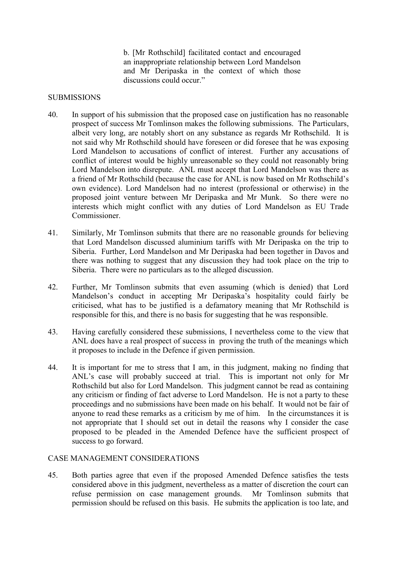b. [Mr Rothschild] facilitated contact and encouraged an inappropriate relationship between Lord Mandelson and Mr Deripaska in the context of which those discussions could occur."

### SUBMISSIONS

- 40. In support of his submission that the proposed case on justification has no reasonable prospect of success Mr Tomlinson makes the following submissions. The Particulars, albeit very long, are notably short on any substance as regards Mr Rothschild. It is not said why Mr Rothschild should have foreseen or did foresee that he was exposing Lord Mandelson to accusations of conflict of interest. Further any accusations of conflict of interest would be highly unreasonable so they could not reasonably bring Lord Mandelson into disrepute. ANL must accept that Lord Mandelson was there as a friend of Mr Rothschild (because the case for ANL is now based on Mr Rothschild"s own evidence). Lord Mandelson had no interest (professional or otherwise) in the proposed joint venture between Mr Deripaska and Mr Munk. So there were no interests which might conflict with any duties of Lord Mandelson as EU Trade Commissioner.
- 41. Similarly, Mr Tomlinson submits that there are no reasonable grounds for believing that Lord Mandelson discussed aluminium tariffs with Mr Deripaska on the trip to Siberia. Further, Lord Mandelson and Mr Deripaska had been together in Davos and there was nothing to suggest that any discussion they had took place on the trip to Siberia. There were no particulars as to the alleged discussion.
- 42. Further, Mr Tomlinson submits that even assuming (which is denied) that Lord Mandelson's conduct in accepting Mr Deripaska's hospitality could fairly be criticised, what has to be justified is a defamatory meaning that Mr Rothschild is responsible for this, and there is no basis for suggesting that he was responsible.
- 43. Having carefully considered these submissions, I nevertheless come to the view that ANL does have a real prospect of success in proving the truth of the meanings which it proposes to include in the Defence if given permission.
- <span id="page-19-0"></span>44. It is important for me to stress that I am, in this judgment, making no finding that ANL"s case will probably succeed at trial. This is important not only for Mr Rothschild but also for Lord Mandelson. This judgment cannot be read as containing any criticism or finding of fact adverse to Lord Mandelson. He is not a party to these proceedings and no submissions have been made on his behalf. It would not be fair of anyone to read these remarks as a criticism by me of him. In the circumstances it is not appropriate that I should set out in detail the reasons why I consider the case proposed to be pleaded in the Amended Defence have the sufficient prospect of success to go forward.

#### CASE MANAGEMENT CONSIDERATIONS

45. Both parties agree that even if the proposed Amended Defence satisfies the tests considered above in this judgment, nevertheless as a matter of discretion the court can refuse permission on case management grounds. Mr Tomlinson submits that permission should be refused on this basis. He submits the application is too late, and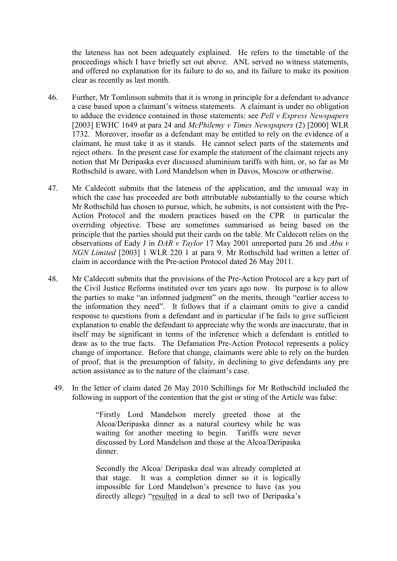the lateness has not been adequately explained. He refers to the timetable of the proceedings which I have briefly set out above. ANL served no witness statements, and offered no explanation for its failure to do so, and its failure to make its position clear as recently as last month.

- 46. Further, Mr Tomlinson submits that it is wrong in principle for a defendant to advance a case based upon a claimant"s witness statements. A claimant is under no obligation to adduce the evidence contained in those statements: see *Pell v Express Newspapers*  [2003] EWHC 1649 at para 24 and *McPhilemy v Times Newspapers* (2) [2000] WLR 1732. Moreover, insofar as a defendant may be entitled to rely on the evidence of a claimant, he must take it as it stands. He cannot select parts of the statements and reject others. In the present case for example the statement of the claimant rejects any notion that Mr Deripaska ever discussed aluminium tariffs with him, or, so far as Mr Rothschild is aware, with Lord Mandelson when in Davos, Moscow or otherwise.
- 47. Mr Caldecott submits that the lateness of the application, and the unusual way in which the case has proceeded are both attributable substantially to the course which Mr Rothschild has chosen to pursue, which, he submits, is not consistent with the Pre-Action Protocol and the modern practices based on the CPR in particular the overriding objective. These are sometimes summarised as being based on the principle that the parties should put their cards on the table. Mr Caldecott relies on the observations of Eady J in *DAR v Taylor* 17 May 2001 unreported para 26 and *Abu v NGN Limited* [2003] 1 WLR 220 1 at para 9. Mr Rothschild had written a letter of claim in accordance with the Pre-action Protocol dated 26 May 2011.
- 48. Mr Caldecott submits that the provisions of the Pre-Action Protocol are a key part of the Civil Justice Reforms instituted over ten years ago now. Its purpose is to allow the parties to make "an informed judgment" on the merits, through "earlier access to the information they need". It follows that if a claimant omits to give a candid response to questions from a defendant and in particular if he fails to give sufficient explanation to enable the defendant to appreciate why the words are inaccurate, that in itself may be significant in terms of the inference which a defendant is entitled to draw as to the true facts. The Defamation Pre-Action Protocol represents a policy change of importance. Before that change, claimants were able to rely on the burden of proof, that is the presumption of falsity, in declining to give defendants any pre action assistance as to the nature of the claimant's case.
	- 49. In the letter of claim dated 26 May 2010 Schillings for Mr Rothschild included the following in support of the contention that the gist or sting of the Article was false:

"Firstly Lord Mandelson merely greeted those at the Alcoa/Deripaska dinner as a natural courtesy while he was waiting for another meeting to begin. Tariffs were never discussed by Lord Mandelson and those at the Alcoa/Deripaska dinner.

Secondly the Alcoa/ Deripaska deal was already completed at that stage. It was a completion dinner so it is logically impossible for Lord Mandelson"s presence to have (as you directly allege) "resulted in a deal to sell two of Deripaska"s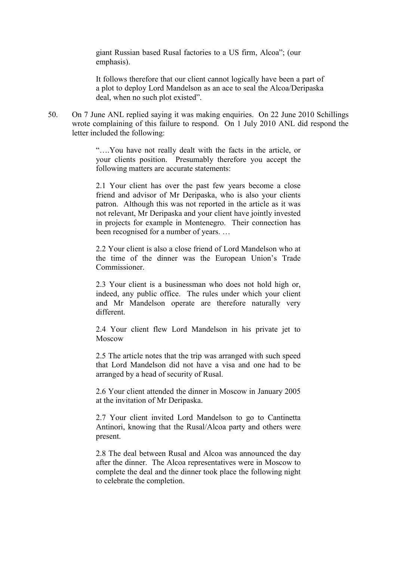giant Russian based Rusal factories to a US firm, Alcoa"; (our emphasis).

It follows therefore that our client cannot logically have been a part of a plot to deploy Lord Mandelson as an ace to seal the Alcoa/Deripaska deal, when no such plot existed".

50. On 7 June ANL replied saying it was making enquiries. On 22 June 2010 Schillings wrote complaining of this failure to respond. On 1 July 2010 ANL did respond the letter included the following:

> "….You have not really dealt with the facts in the article, or your clients position. Presumably therefore you accept the following matters are accurate statements:

> 2.1 Your client has over the past few years become a close friend and advisor of Mr Deripaska, who is also your clients patron. Although this was not reported in the article as it was not relevant, Mr Deripaska and your client have jointly invested in projects for example in Montenegro. Their connection has been recognised for a number of years. …

> 2.2 Your client is also a close friend of Lord Mandelson who at the time of the dinner was the European Union"s Trade Commissioner.

> 2.3 Your client is a businessman who does not hold high or, indeed, any public office. The rules under which your client and Mr Mandelson operate are therefore naturally very different.

> 2.4 Your client flew Lord Mandelson in his private jet to Moscow

> 2.5 The article notes that the trip was arranged with such speed that Lord Mandelson did not have a visa and one had to be arranged by a head of security of Rusal.

> 2.6 Your client attended the dinner in Moscow in January 2005 at the invitation of Mr Deripaska.

> 2.7 Your client invited Lord Mandelson to go to Cantinetta Antinori, knowing that the Rusal/Alcoa party and others were present.

> 2.8 The deal between Rusal and Alcoa was announced the day after the dinner. The Alcoa representatives were in Moscow to complete the deal and the dinner took place the following night to celebrate the completion.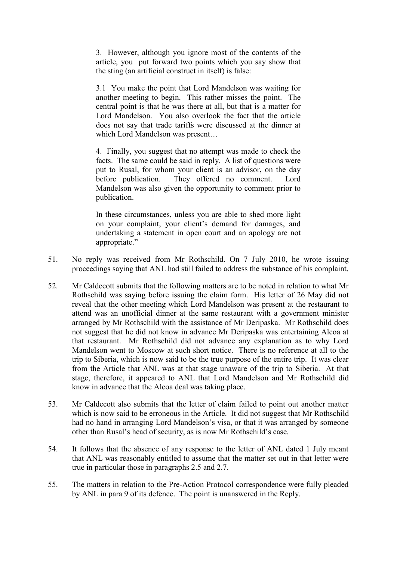3. However, although you ignore most of the contents of the article, you put forward two points which you say show that the sting (an artificial construct in itself) is false:

3.1 You make the point that Lord Mandelson was waiting for another meeting to begin. This rather misses the point. The central point is that he was there at all, but that is a matter for Lord Mandelson. You also overlook the fact that the article does not say that trade tariffs were discussed at the dinner at which Lord Mandelson was present…

4. Finally, you suggest that no attempt was made to check the facts. The same could be said in reply. A list of questions were put to Rusal, for whom your client is an advisor, on the day before publication. They offered no comment. Lord Mandelson was also given the opportunity to comment prior to publication.

In these circumstances, unless you are able to shed more light on your complaint, your client"s demand for damages, and undertaking a statement in open court and an apology are not appropriate."

- 51. No reply was received from Mr Rothschild. On 7 July 2010, he wrote issuing proceedings saying that ANL had still failed to address the substance of his complaint.
- 52. Mr Caldecott submits that the following matters are to be noted in relation to what Mr Rothschild was saying before issuing the claim form. His letter of 26 May did not reveal that the other meeting which Lord Mandelson was present at the restaurant to attend was an unofficial dinner at the same restaurant with a government minister arranged by Mr Rothschild with the assistance of Mr Deripaska. Mr Rothschild does not suggest that he did not know in advance Mr Deripaska was entertaining Alcoa at that restaurant. Mr Rothschild did not advance any explanation as to why Lord Mandelson went to Moscow at such short notice. There is no reference at all to the trip to Siberia, which is now said to be the true purpose of the entire trip. It was clear from the Article that ANL was at that stage unaware of the trip to Siberia. At that stage, therefore, it appeared to ANL that Lord Mandelson and Mr Rothschild did know in advance that the Alcoa deal was taking place.
- 53. Mr Caldecott also submits that the letter of claim failed to point out another matter which is now said to be erroneous in the Article. It did not suggest that Mr Rothschild had no hand in arranging Lord Mandelson's visa, or that it was arranged by someone other than Rusal"s head of security, as is now Mr Rothschild"s case.
- 54. It follows that the absence of any response to the letter of ANL dated 1 July meant that ANL was reasonably entitled to assume that the matter set out in that letter were true in particular those in paragraphs 2.5 and 2.7.
- 55. The matters in relation to the Pre-Action Protocol correspondence were fully pleaded by ANL in para 9 of its defence. The point is unanswered in the Reply.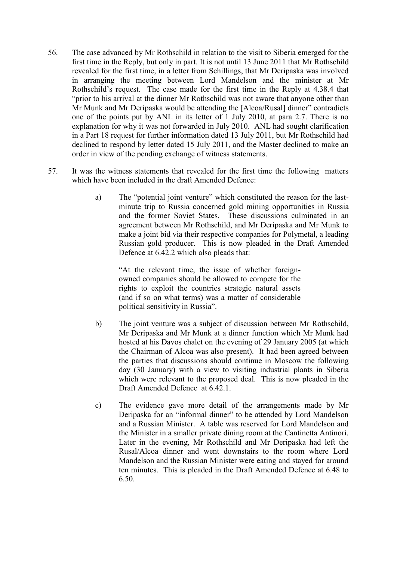- 56. The case advanced by Mr Rothschild in relation to the visit to Siberia emerged for the first time in the Reply, but only in part. It is not until 13 June 2011 that Mr Rothschild revealed for the first time, in a letter from Schillings, that Mr Deripaska was involved in arranging the meeting between Lord Mandelson and the minister at Mr Rothschild"s request. The case made for the first time in the Reply at 4.38.4 that "prior to his arrival at the dinner Mr Rothschild was not aware that anyone other than Mr Munk and Mr Deripaska would be attending the [Alcoa/Rusal] dinner" contradicts one of the points put by ANL in its letter of 1 July 2010, at para 2.7. There is no explanation for why it was not forwarded in July 2010. ANL had sought clarification in a Part 18 request for further information dated 13 July 2011, but Mr Rothschild had declined to respond by letter dated 15 July 2011, and the Master declined to make an order in view of the pending exchange of witness statements.
- 57. It was the witness statements that revealed for the first time the following matters which have been included in the draft Amended Defence:
	- a) The "potential joint venture" which constituted the reason for the lastminute trip to Russia concerned gold mining opportunities in Russia and the former Soviet States. These discussions culminated in an agreement between Mr Rothschild, and Mr Deripaska and Mr Munk to make a joint bid via their respective companies for Polymetal, a leading Russian gold producer. This is now pleaded in the Draft Amended Defence at 6.42.2 which also pleads that:

"At the relevant time, the issue of whether foreignowned companies should be allowed to compete for the rights to exploit the countries strategic natural assets (and if so on what terms) was a matter of considerable political sensitivity in Russia".

- b) The joint venture was a subject of discussion between Mr Rothschild, Mr Deripaska and Mr Munk at a dinner function which Mr Munk had hosted at his Davos chalet on the evening of 29 January 2005 (at which the Chairman of Alcoa was also present). It had been agreed between the parties that discussions should continue in Moscow the following day (30 January) with a view to visiting industrial plants in Siberia which were relevant to the proposed deal. This is now pleaded in the Draft Amended Defence at 6.42.1.
- c) The evidence gave more detail of the arrangements made by Mr Deripaska for an "informal dinner" to be attended by Lord Mandelson and a Russian Minister. A table was reserved for Lord Mandelson and the Minister in a smaller private dining room at the Cantinetta Antinori. Later in the evening, Mr Rothschild and Mr Deripaska had left the Rusal/Alcoa dinner and went downstairs to the room where Lord Mandelson and the Russian Minister were eating and stayed for around ten minutes. This is pleaded in the Draft Amended Defence at 6.48 to 6.50.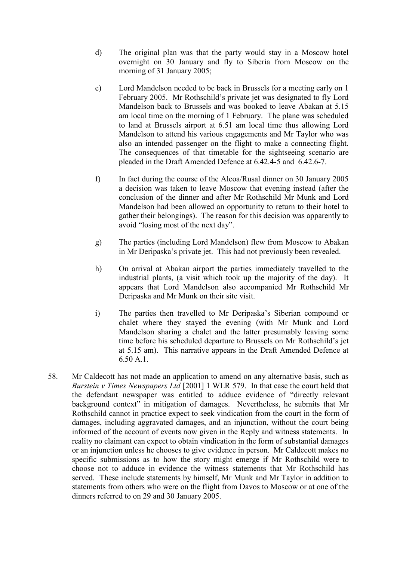- d) The original plan was that the party would stay in a Moscow hotel overnight on 30 January and fly to Siberia from Moscow on the morning of 31 January 2005:
- e) Lord Mandelson needed to be back in Brussels for a meeting early on 1 February 2005. Mr Rothschild's private jet was designated to fly Lord Mandelson back to Brussels and was booked to leave Abakan at 5.15 am local time on the morning of 1 February. The plane was scheduled to land at Brussels airport at 6.51 am local time thus allowing Lord Mandelson to attend his various engagements and Mr Taylor who was also an intended passenger on the flight to make a connecting flight. The consequences of that timetable for the sightseeing scenario are pleaded in the Draft Amended Defence at 6.42.4-5 and 6.42.6-7.
- f) In fact during the course of the Alcoa/Rusal dinner on 30 January 2005 a decision was taken to leave Moscow that evening instead (after the conclusion of the dinner and after Mr Rothschild Mr Munk and Lord Mandelson had been allowed an opportunity to return to their hotel to gather their belongings). The reason for this decision was apparently to avoid "losing most of the next day".
- g) The parties (including Lord Mandelson) flew from Moscow to Abakan in Mr Deripaska"s private jet. This had not previously been revealed.
- h) On arrival at Abakan airport the parties immediately travelled to the industrial plants, (a visit which took up the majority of the day). It appears that Lord Mandelson also accompanied Mr Rothschild Mr Deripaska and Mr Munk on their site visit.
- i) The parties then travelled to Mr Deripaska's Siberian compound or chalet where they stayed the evening (with Mr Munk and Lord Mandelson sharing a chalet and the latter presumably leaving some time before his scheduled departure to Brussels on Mr Rothschild"s jet at 5.15 am). This narrative appears in the Draft Amended Defence at 6.50 A.1.
- 58. Mr Caldecott has not made an application to amend on any alternative basis, such as *Burstein v Times Newspapers Ltd* [2001] 1 WLR 579. In that case the court held that the defendant newspaper was entitled to adduce evidence of "directly relevant background context" in mitigation of damages. Nevertheless, he submits that Mr Rothschild cannot in practice expect to seek vindication from the court in the form of damages, including aggravated damages, and an injunction, without the court being informed of the account of events now given in the Reply and witness statements. In reality no claimant can expect to obtain vindication in the form of substantial damages or an injunction unless he chooses to give evidence in person. Mr Caldecott makes no specific submissions as to how the story might emerge if Mr Rothschild were to choose not to adduce in evidence the witness statements that Mr Rothschild has served. These include statements by himself, Mr Munk and Mr Taylor in addition to statements from others who were on the flight from Davos to Moscow or at one of the dinners referred to on 29 and 30 January 2005.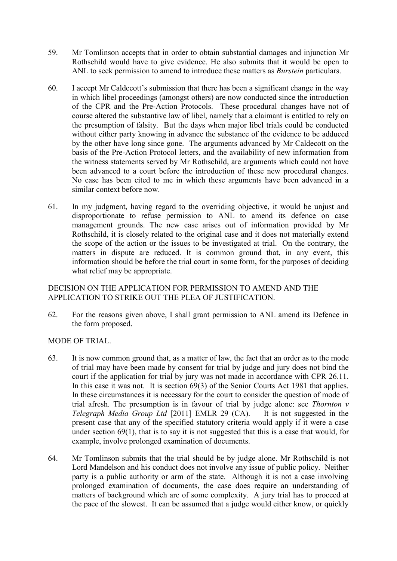- 59. Mr Tomlinson accepts that in order to obtain substantial damages and injunction Mr Rothschild would have to give evidence. He also submits that it would be open to ANL to seek permission to amend to introduce these matters as *Burstein* particulars.
- 60. I accept Mr Caldecott"s submission that there has been a significant change in the way in which libel proceedings (amongst others) are now conducted since the introduction of the CPR and the Pre-Action Protocols. These procedural changes have not of course altered the substantive law of libel, namely that a claimant is entitled to rely on the presumption of falsity. But the days when major libel trials could be conducted without either party knowing in advance the substance of the evidence to be adduced by the other have long since gone. The arguments advanced by Mr Caldecott on the basis of the Pre-Action Protocol letters, and the availability of new information from the witness statements served by Mr Rothschild, are arguments which could not have been advanced to a court before the introduction of these new procedural changes. No case has been cited to me in which these arguments have been advanced in a similar context before now.
- 61. In my judgment, having regard to the overriding objective, it would be unjust and disproportionate to refuse permission to ANL to amend its defence on case management grounds. The new case arises out of information provided by Mr Rothschild, it is closely related to the original case and it does not materially extend the scope of the action or the issues to be investigated at trial. On the contrary, the matters in dispute are reduced. It is common ground that, in any event, this information should be before the trial court in some form, for the purposes of deciding what relief may be appropriate.

# DECISION ON THE APPLICATION FOR PERMISSION TO AMEND AND THE APPLICATION TO STRIKE OUT THE PLEA OF JUSTIFICATION.

62. For the reasons given above, I shall grant permission to ANL amend its Defence in the form proposed.

# MODE OF TRIAL.

- 63. It is now common ground that, as a matter of law, the fact that an order as to the mode of trial may have been made by consent for trial by judge and jury does not bind the court if the application for trial by jury was not made in accordance with CPR 26.11. In this case it was not. It is section 69(3) of the Senior Courts Act 1981 that applies. In these circumstances it is necessary for the court to consider the question of mode of trial afresh. The presumption is in favour of trial by judge alone: see *Thornton v Telegraph Media Group Ltd* [2011] EMLR 29 (CA). It is not suggested in the present case that any of the specified statutory criteria would apply if it were a case under section 69(1), that is to say it is not suggested that this is a case that would, for example, involve prolonged examination of documents.
- 64. Mr Tomlinson submits that the trial should be by judge alone. Mr Rothschild is not Lord Mandelson and his conduct does not involve any issue of public policy. Neither party is a public authority or arm of the state. Although it is not a case involving prolonged examination of documents, the case does require an understanding of matters of background which are of some complexity. A jury trial has to proceed at the pace of the slowest. It can be assumed that a judge would either know, or quickly